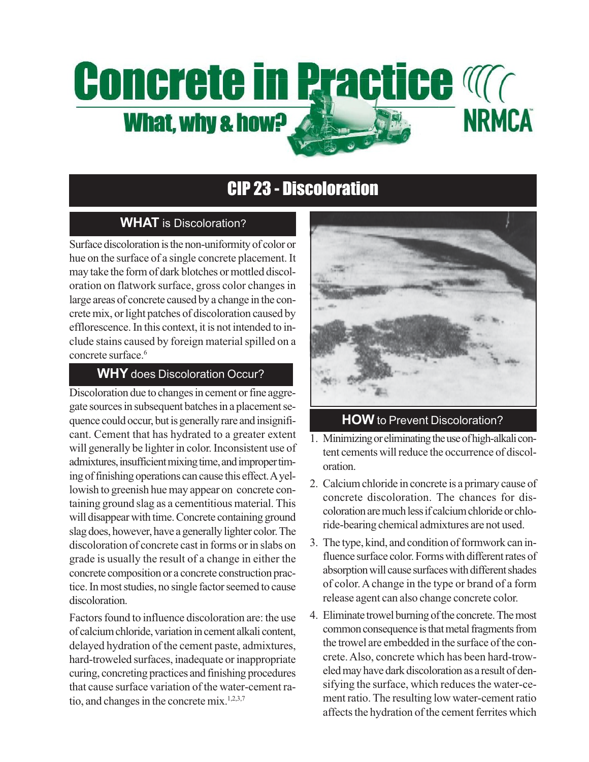# **Concrete in Practice Magnetice NRMCA What, why & how?**

# CIP 23 - Discoloration

### **WHAT** is Discoloration?

Surface discoloration is the non-uniformity of color or hue on the surface of a single concrete placement. It may take the form of dark blotches or mottled discoloration on flatwork surface, gross color changes in large areas of concrete caused by a change in the concrete mix, or light patches of discoloration caused by efflorescence. In this context, it is not intended to include stains caused by foreign material spilled on a concrete surface.<sup>6</sup>

#### **WHY** does Discoloration Occur?

Discoloration due to changes in cement or fine aggregate sources in subsequent batches in a placement sequence could occur, but is generally rare and insignificant. Cement that has hydrated to a greater extent will generally be lighter in color. Inconsistent use of admixtures, insufficient mixing time, and improper timing of finishing operations can cause this effect. A yellowish to greenish hue may appear on concrete containing ground slag as a cementitious material. This will disappear with time. Concrete containing ground slag does, however, have a generally lighter color. The discoloration of concrete cast in forms or in slabs on grade is usually the result of a change in either the concrete composition or a concrete construction practice. In most studies, no single factor seemed to cause discoloration.

Factors found to influence discoloration are: the use of calcium chloride, variation in cement alkali content, delayed hydration of the cement paste, admixtures, hard-troweled surfaces, inadequate or inappropriate curing, concreting practices and finishing procedures that cause surface variation of the water-cement ratio, and changes in the concrete mix.<sup>1,2,3,7</sup>



#### **HOW** to Prevent Discoloration?

- 1. Minimizing or eliminating the use of high-alkali content cements will reduce the occurrence of discoloration.
- 2. Calcium chloride in concrete is a primary cause of concrete discoloration. The chances for discoloration are much less if calcium chloride or chloride-bearing chemical admixtures are not used.
- 3. The type, kind, and condition of formwork can influence surface color. Forms with different rates of absorption will cause surfaces with different shades of color. A change in the type or brand of a form release agent can also change concrete color.
- 4. Eliminate trowel burning of the concrete. The most common consequence is that metal fragments from the trowel are embedded in the surface of the concrete. Also, concrete which has been hard-troweled may have dark discoloration as a result of densifying the surface, which reduces the water-cement ratio. The resulting low water-cement ratio affects the hydration of the cement ferrites which